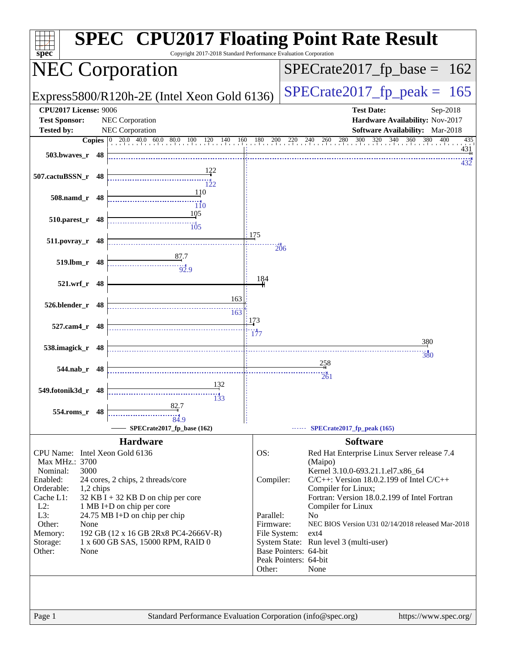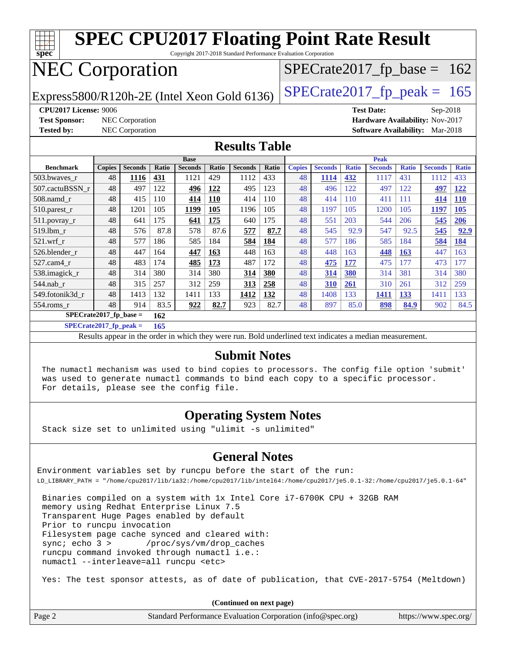| <b>SPEC CPU2017 Floating Point Rate Result</b>                                                |               |                        |       |                |       |                |       |               |                |              |                               |              |                |              |
|-----------------------------------------------------------------------------------------------|---------------|------------------------|-------|----------------|-------|----------------|-------|---------------|----------------|--------------|-------------------------------|--------------|----------------|--------------|
| $\overline{\text{spec}^*}$<br>Copyright 2017-2018 Standard Performance Evaluation Corporation |               |                        |       |                |       |                |       |               |                |              |                               |              |                |              |
| <b>NEC Corporation</b><br>$SPECTate2017_fp\_base = 162$                                       |               |                        |       |                |       |                |       |               |                |              |                               |              |                |              |
| $SPECTate2017$ _fp_peak = 165<br>Express5800/R120h-2E (Intel Xeon Gold 6136)                  |               |                        |       |                |       |                |       |               |                |              |                               |              |                |              |
| <b>CPU2017 License: 9006</b><br><b>Test Date:</b><br>$Sep-2018$                               |               |                        |       |                |       |                |       |               |                |              |                               |              |                |              |
| Hardware Availability: Nov-2017<br><b>Test Sponsor:</b><br><b>NEC</b> Corporation             |               |                        |       |                |       |                |       |               |                |              |                               |              |                |              |
| <b>Tested by:</b>                                                                             |               | <b>NEC</b> Corporation |       |                |       |                |       |               |                |              | <b>Software Availability:</b> |              | Mar-2018       |              |
| <b>Results Table</b>                                                                          |               |                        |       |                |       |                |       |               |                |              |                               |              |                |              |
|                                                                                               |               |                        |       | <b>Base</b>    |       |                |       | Peak          |                |              |                               |              |                |              |
| <b>Benchmark</b>                                                                              | <b>Copies</b> | <b>Seconds</b>         | Ratio | <b>Seconds</b> | Ratio | <b>Seconds</b> | Ratio | <b>Copies</b> | <b>Seconds</b> | <b>Ratio</b> | <b>Seconds</b>                | <b>Ratio</b> | <b>Seconds</b> | <b>Ratio</b> |
| 503.bwaves r                                                                                  | 48            | 1116                   | 431   | 1121           | 429   | 1112           | 433   | 48            | 1114           | 432          | 1117                          | 431          | 1112           | 433          |
| 507.cactuBSSN r                                                                               | 48            | 497                    | 122   | 496            | 122   | 495            | 123   | 48            | 496            | 122          | 497                           | 122          | 497            | <u>122</u>   |
| 508.namd r                                                                                    | 48            | 415                    | 110   | 414            | 110   | 414            | 110   | 48            | 414            | 110          | 411                           | 111          | 414            | <b>110</b>   |
| $510.parest_r$                                                                                | 48            | 1201                   | 105   | 1199           | 105   | 1196           | 105   | 48            | 1197           | 105          | 1200                          | 105          | 1197           | 105          |
| 511.povray_r                                                                                  | 48            | 641                    | 175   | 641            | 175   | 640            | 175   | 48            | 551            | 203          | 544                           | 206          | 545            | 206          |
| 519.lbm r                                                                                     | 48            | 576                    | 87.8  | 578            | 87.6  | 577            | 87.7  | 48            | 545            | 92.9         | 547                           | 92.5         | 545            | 92.9         |
| $521$ .wrf r                                                                                  | 48            | 577                    | 186   | 585            | 184   | 584            | 184   | 48            | 577            | 186          | 585                           | 184          | 584            | 184          |
| 526.blender r                                                                                 | 48            | 447                    | 164   | 447            | 163   | 448            | 163   | 48            | 448            | 163          | 448                           | <b>163</b>   | 447            | 163          |
| 527.cam4_r                                                                                    | 48            | 483                    | 174   | 485            | 173   | 487            | 172   | 48            | 475            | 177          | 475                           | 177          | 473            | 177          |
| 538.imagick_r                                                                                 | 48            | 314                    | 380   | 314            | 380   | 314            | 380   | 48            | 314            | 380          | 314                           | 381          | 314            | 380          |
| $544$ .nab r                                                                                  | 48            | 315                    | 257   | 312            | 259   | 313            | 258   | 48            | 310            | 261          | 310                           | 261          | 312            | 259          |
| 549.fotonik3d r                                                                               | 48            | 1413                   | 132   | 1411           | 133   | 1412           | 132   | 48            | 1408           | 133          | 1411                          | 133          | 1411           | 133          |
| $554$ .roms r                                                                                 | 48            | 914                    | 83.5  | 922            | 82.7  | 923            | 82.7  | 48            | 897            | 85.0         | 898                           | 84.9         | 902            | 84.5         |
| $SPECrate2017$ fp base =<br>162                                                               |               |                        |       |                |       |                |       |               |                |              |                               |              |                |              |

**[SPECrate2017\\_fp\\_peak =](http://www.spec.org/auto/cpu2017/Docs/result-fields.html#SPECrate2017fppeak) 165**

Results appear in the [order in which they were run.](http://www.spec.org/auto/cpu2017/Docs/result-fields.html#RunOrder) Bold underlined text [indicates a median measurement.](http://www.spec.org/auto/cpu2017/Docs/result-fields.html#Median)

#### **[Submit Notes](http://www.spec.org/auto/cpu2017/Docs/result-fields.html#SubmitNotes)**

 The numactl mechanism was used to bind copies to processors. The config file option 'submit' was used to generate numactl commands to bind each copy to a specific processor. For details, please see the config file.

### **[Operating System Notes](http://www.spec.org/auto/cpu2017/Docs/result-fields.html#OperatingSystemNotes)**

Stack size set to unlimited using "ulimit -s unlimited"

### **[General Notes](http://www.spec.org/auto/cpu2017/Docs/result-fields.html#GeneralNotes)**

Environment variables set by runcpu before the start of the run: LD\_LIBRARY\_PATH = "/home/cpu2017/lib/ia32:/home/cpu2017/lib/intel64:/home/cpu2017/je5.0.1-32:/home/cpu2017/je5.0.1-64"

 Binaries compiled on a system with 1x Intel Core i7-6700K CPU + 32GB RAM memory using Redhat Enterprise Linux 7.5 Transparent Huge Pages enabled by default Prior to runcpu invocation Filesystem page cache synced and cleared with: sync; echo 3 > /proc/sys/vm/drop\_caches runcpu command invoked through numactl i.e.: numactl --interleave=all runcpu <etc>

Yes: The test sponsor attests, as of date of publication, that CVE-2017-5754 (Meltdown)

**(Continued on next page)**

|  | Page 2 | Standard Performance Evaluation Corporation (info@spec.org) | https://www.spec.org/ |
|--|--------|-------------------------------------------------------------|-----------------------|
|--|--------|-------------------------------------------------------------|-----------------------|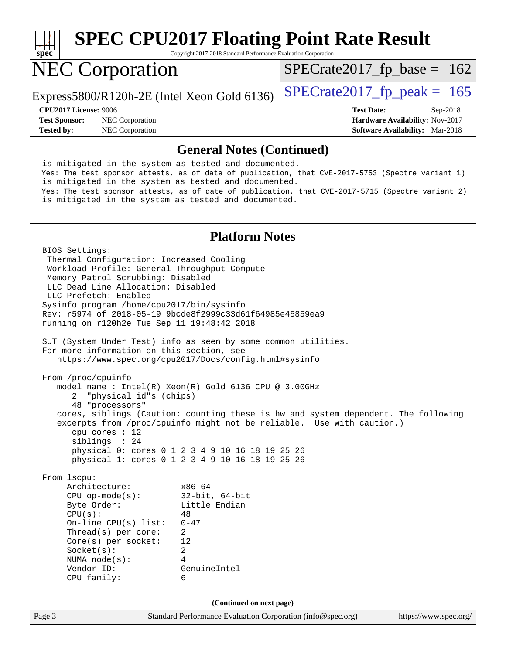

Copyright 2017-2018 Standard Performance Evaluation Corporation

# NEC Corporation

Express5800/R120h-2E (Intel Xeon Gold 6136)  $\left|$  [SPECrate2017\\_fp\\_peak =](http://www.spec.org/auto/cpu2017/Docs/result-fields.html#SPECrate2017fppeak) 165

**[Test Sponsor:](http://www.spec.org/auto/cpu2017/Docs/result-fields.html#TestSponsor)** NEC Corporation **[Hardware Availability:](http://www.spec.org/auto/cpu2017/Docs/result-fields.html#HardwareAvailability)** Nov-2017

**[CPU2017 License:](http://www.spec.org/auto/cpu2017/Docs/result-fields.html#CPU2017License)** 9006 **[Test Date:](http://www.spec.org/auto/cpu2017/Docs/result-fields.html#TestDate)** Sep-2018 **[Tested by:](http://www.spec.org/auto/cpu2017/Docs/result-fields.html#Testedby)** NEC Corporation **[Software Availability:](http://www.spec.org/auto/cpu2017/Docs/result-fields.html#SoftwareAvailability)** Mar-2018

 $SPECTate2017_fp\_base = 162$ 

### **[General Notes \(Continued\)](http://www.spec.org/auto/cpu2017/Docs/result-fields.html#GeneralNotes)**

 is mitigated in the system as tested and documented. Yes: The test sponsor attests, as of date of publication, that CVE-2017-5753 (Spectre variant 1) is mitigated in the system as tested and documented. Yes: The test sponsor attests, as of date of publication, that CVE-2017-5715 (Spectre variant 2) is mitigated in the system as tested and documented.

### **[Platform Notes](http://www.spec.org/auto/cpu2017/Docs/result-fields.html#PlatformNotes)**

Page 3 Standard Performance Evaluation Corporation [\(info@spec.org\)](mailto:info@spec.org) <https://www.spec.org/> BIOS Settings: Thermal Configuration: Increased Cooling Workload Profile: General Throughput Compute Memory Patrol Scrubbing: Disabled LLC Dead Line Allocation: Disabled LLC Prefetch: Enabled Sysinfo program /home/cpu2017/bin/sysinfo Rev: r5974 of 2018-05-19 9bcde8f2999c33d61f64985e45859ea9 running on r120h2e Tue Sep 11 19:48:42 2018 SUT (System Under Test) info as seen by some common utilities. For more information on this section, see <https://www.spec.org/cpu2017/Docs/config.html#sysinfo> From /proc/cpuinfo model name : Intel(R) Xeon(R) Gold 6136 CPU @ 3.00GHz 2 "physical id"s (chips) 48 "processors" cores, siblings (Caution: counting these is hw and system dependent. The following excerpts from /proc/cpuinfo might not be reliable. Use with caution.) cpu cores : 12 siblings : 24 physical 0: cores 0 1 2 3 4 9 10 16 18 19 25 26 physical 1: cores 0 1 2 3 4 9 10 16 18 19 25 26 From lscpu: Architecture: x86\_64 CPU op-mode(s): 32-bit, 64-bit Byte Order: Little Endian  $CPU(s):$  48 On-line CPU(s) list: 0-47 Thread(s) per core: 2 Core(s) per socket: 12 Socket(s): 2 NUMA node(s): 4 Vendor ID: GenuineIntel CPU family: 6 **(Continued on next page)**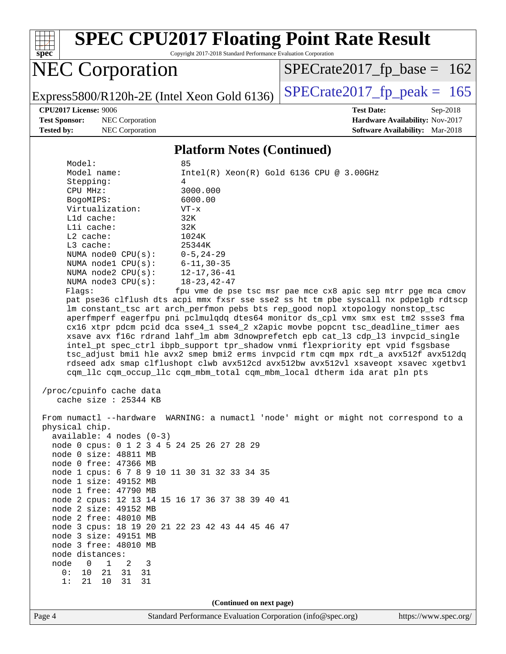

Copyright 2017-2018 Standard Performance Evaluation Corporation

# NEC Corporation

Express5800/R120h-2E (Intel Xeon Gold 6136) [SPECrate2017\\_fp\\_peak =](http://www.spec.org/auto/cpu2017/Docs/result-fields.html#SPECrate2017fppeak)  $165$ 

[SPECrate2017\\_fp\\_base =](http://www.spec.org/auto/cpu2017/Docs/result-fields.html#SPECrate2017fpbase) 162

**[Test Sponsor:](http://www.spec.org/auto/cpu2017/Docs/result-fields.html#TestSponsor)** NEC Corporation **[Hardware Availability:](http://www.spec.org/auto/cpu2017/Docs/result-fields.html#HardwareAvailability)** Nov-2017

**[CPU2017 License:](http://www.spec.org/auto/cpu2017/Docs/result-fields.html#CPU2017License)** 9006 **[Test Date:](http://www.spec.org/auto/cpu2017/Docs/result-fields.html#TestDate)** Sep-2018 **[Tested by:](http://www.spec.org/auto/cpu2017/Docs/result-fields.html#Testedby)** NEC Corporation **[Software Availability:](http://www.spec.org/auto/cpu2017/Docs/result-fields.html#SoftwareAvailability)** Mar-2018

#### **[Platform Notes \(Continued\)](http://www.spec.org/auto/cpu2017/Docs/result-fields.html#PlatformNotes)**

| Model:                                              | 85                                                                                   |  |  |  |  |  |
|-----------------------------------------------------|--------------------------------------------------------------------------------------|--|--|--|--|--|
| Model name:                                         | $Intel(R)$ Xeon $(R)$ Gold 6136 CPU @ 3.00GHz                                        |  |  |  |  |  |
| Stepping:                                           | 4                                                                                    |  |  |  |  |  |
| CPU MHz:                                            | 3000.000                                                                             |  |  |  |  |  |
| BogoMIPS:                                           | 6000.00                                                                              |  |  |  |  |  |
| Virtualization:                                     | $VT - x$                                                                             |  |  |  |  |  |
| L1d cache:                                          | 32K                                                                                  |  |  |  |  |  |
| Lli cache:                                          | 32K                                                                                  |  |  |  |  |  |
| $L2$ cache:                                         | 1024K                                                                                |  |  |  |  |  |
| L3 cache:                                           | 25344K                                                                               |  |  |  |  |  |
| NUMA node0 CPU(s):                                  | 0-5,24-29                                                                            |  |  |  |  |  |
| NUMA nodel $CPU(s): 6-11, 30-35$                    |                                                                                      |  |  |  |  |  |
| NUMA $node2$ $CPU(s):$                              | $12 - 17, 36 - 41$                                                                   |  |  |  |  |  |
| NUMA $node3$ $CPU(s):$                              | $18 - 23, 42 - 47$                                                                   |  |  |  |  |  |
| Flaqs:                                              | fpu vme de pse tsc msr pae mce cx8 apic sep mtrr pge mca cmov                        |  |  |  |  |  |
|                                                     | pat pse36 clflush dts acpi mmx fxsr sse sse2 ss ht tm pbe syscall nx pdpelgb rdtscp  |  |  |  |  |  |
|                                                     | lm constant_tsc art arch_perfmon pebs bts rep_good nopl xtopology nonstop_tsc        |  |  |  |  |  |
|                                                     | aperfmperf eagerfpu pni pclmulqdq dtes64 monitor ds_cpl vmx smx est tm2 ssse3 fma    |  |  |  |  |  |
|                                                     | cx16 xtpr pdcm pcid dca sse4_1 sse4_2 x2apic movbe popcnt tsc_deadline_timer aes     |  |  |  |  |  |
|                                                     | xsave avx f16c rdrand lahf_lm abm 3dnowprefetch epb cat_13 cdp_13 invpcid_single     |  |  |  |  |  |
|                                                     | intel_pt spec_ctrl ibpb_support tpr_shadow vnmi flexpriority ept vpid fsgsbase       |  |  |  |  |  |
|                                                     | tsc_adjust bmil hle avx2 smep bmi2 erms invpcid rtm cqm mpx rdt_a avx512f avx512dq   |  |  |  |  |  |
|                                                     | rdseed adx smap clflushopt clwb avx512cd avx512bw avx512vl xsaveopt xsavec xgetbvl   |  |  |  |  |  |
|                                                     | cqm_llc cqm_occup_llc cqm_mbm_total cqm_mbm_local dtherm ida arat pln pts            |  |  |  |  |  |
|                                                     |                                                                                      |  |  |  |  |  |
| /proc/cpuinfo cache data<br>cache size $: 25344$ KB |                                                                                      |  |  |  |  |  |
|                                                     |                                                                                      |  |  |  |  |  |
|                                                     | From numactl --hardware WARNING: a numactl 'node' might or might not correspond to a |  |  |  |  |  |
| physical chip.                                      |                                                                                      |  |  |  |  |  |
| $available: 4 nodes (0-3)$                          |                                                                                      |  |  |  |  |  |
| node 0 cpus: 0 1 2 3 4 5 24 25 26 27 28 29          |                                                                                      |  |  |  |  |  |
| node 0 size: 48811 MB                               |                                                                                      |  |  |  |  |  |
| node 0 free: 47366 MB                               |                                                                                      |  |  |  |  |  |
| node 1 cpus: 6 7 8 9 10 11 30 31 32 33 34 35        |                                                                                      |  |  |  |  |  |
| node 1 size: 49152 MB                               |                                                                                      |  |  |  |  |  |
| node 1 free: 47790 MB                               |                                                                                      |  |  |  |  |  |
| node 2 cpus: 12 13 14 15 16 17 36 37 38 39 40 41    |                                                                                      |  |  |  |  |  |
| node 2 size: 49152 MB                               |                                                                                      |  |  |  |  |  |
| node 2 free: 48010 MB                               |                                                                                      |  |  |  |  |  |
|                                                     | node 3 cpus: 18 19 20 21 22 23 42 43 44 45 46 47                                     |  |  |  |  |  |
| node 3 size: 49151 MB                               |                                                                                      |  |  |  |  |  |
| node 3 free: 48010 MB                               |                                                                                      |  |  |  |  |  |
| node distances:                                     |                                                                                      |  |  |  |  |  |
| node 0 1 2 3                                        |                                                                                      |  |  |  |  |  |
| 0: 10 21 31 31                                      |                                                                                      |  |  |  |  |  |
| 1:<br>21 10<br>31<br>31                             |                                                                                      |  |  |  |  |  |
|                                                     |                                                                                      |  |  |  |  |  |
|                                                     |                                                                                      |  |  |  |  |  |

**(Continued on next page)**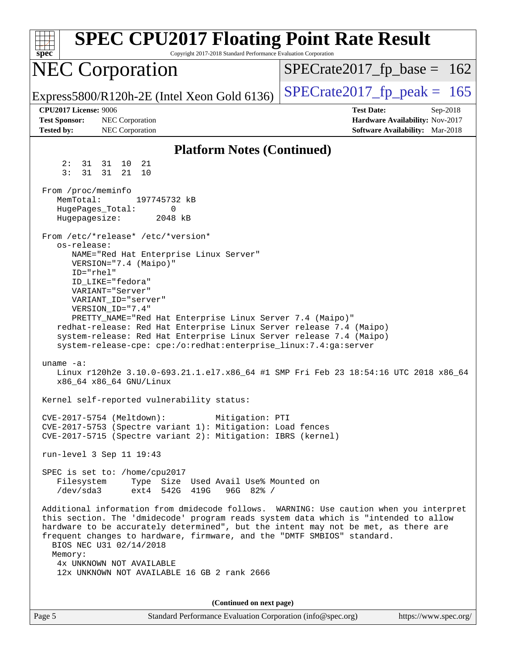| <b>SPEC CPU2017 Floating Point Rate Result</b><br>Copyright 2017-2018 Standard Performance Evaluation Corporation<br>$spec^*$                                                                                                                                                                                                                                                                                                                                                                                                                                                                                                                                                                                                                                                                                               |                                                                           |
|-----------------------------------------------------------------------------------------------------------------------------------------------------------------------------------------------------------------------------------------------------------------------------------------------------------------------------------------------------------------------------------------------------------------------------------------------------------------------------------------------------------------------------------------------------------------------------------------------------------------------------------------------------------------------------------------------------------------------------------------------------------------------------------------------------------------------------|---------------------------------------------------------------------------|
| <b>NEC Corporation</b>                                                                                                                                                                                                                                                                                                                                                                                                                                                                                                                                                                                                                                                                                                                                                                                                      | $SPECTate2017fr base = 162$                                               |
| Express5800/R120h-2E (Intel Xeon Gold 6136)                                                                                                                                                                                                                                                                                                                                                                                                                                                                                                                                                                                                                                                                                                                                                                                 | $SPECrate2017_fp\_peak = 165$                                             |
| <b>CPU2017 License: 9006</b>                                                                                                                                                                                                                                                                                                                                                                                                                                                                                                                                                                                                                                                                                                                                                                                                | <b>Test Date:</b><br>Sep-2018                                             |
| <b>Test Sponsor:</b><br>NEC Corporation<br><b>Tested by:</b><br>NEC Corporation                                                                                                                                                                                                                                                                                                                                                                                                                                                                                                                                                                                                                                                                                                                                             | Hardware Availability: Nov-2017<br><b>Software Availability:</b> Mar-2018 |
| <b>Platform Notes (Continued)</b>                                                                                                                                                                                                                                                                                                                                                                                                                                                                                                                                                                                                                                                                                                                                                                                           |                                                                           |
| 31 31 10 21<br>2:                                                                                                                                                                                                                                                                                                                                                                                                                                                                                                                                                                                                                                                                                                                                                                                                           |                                                                           |
| 3:<br>31 21<br>31<br>10                                                                                                                                                                                                                                                                                                                                                                                                                                                                                                                                                                                                                                                                                                                                                                                                     |                                                                           |
| From /proc/meminfo<br>MemTotal:<br>197745732 kB<br>HugePages_Total:<br>0<br>Hugepagesize:<br>2048 kB                                                                                                                                                                                                                                                                                                                                                                                                                                                                                                                                                                                                                                                                                                                        |                                                                           |
| From /etc/*release* /etc/*version*                                                                                                                                                                                                                                                                                                                                                                                                                                                                                                                                                                                                                                                                                                                                                                                          |                                                                           |
| os-release:<br>NAME="Red Hat Enterprise Linux Server"<br>VERSION="7.4 (Maipo)"<br>ID="rhel"<br>ID LIKE="fedora"<br>VARIANT="Server"<br>VARIANT_ID="server"<br>VERSION_ID="7.4"<br>PRETTY_NAME="Red Hat Enterprise Linux Server 7.4 (Maipo)"<br>redhat-release: Red Hat Enterprise Linux Server release 7.4 (Maipo)<br>system-release: Red Hat Enterprise Linux Server release 7.4 (Maipo)<br>system-release-cpe: cpe:/o:redhat:enterprise_linux:7.4:ga:server<br>uname $-a$ :<br>Linux r120h2e 3.10.0-693.21.1.el7.x86_64 #1 SMP Fri Feb 23 18:54:16 UTC 2018 x86_64<br>x86_64 x86_64 GNU/Linux<br>Kernel self-reported vulnerability status:<br>CVE-2017-5754 (Meltdown):<br>Mitigation: PTI<br>CVE-2017-5753 (Spectre variant 1): Mitigation: Load fences<br>CVE-2017-5715 (Spectre variant 2): Mitigation: IBRS (kernel) |                                                                           |
| run-level 3 Sep 11 19:43                                                                                                                                                                                                                                                                                                                                                                                                                                                                                                                                                                                                                                                                                                                                                                                                    |                                                                           |
| SPEC is set to: /home/cpu2017<br>Filesystem<br>Type Size Used Avail Use% Mounted on<br>ext4 542G 419G<br>/dev/sda3<br>$96G$ $82\frac{8}{8}$ /<br>Additional information from dmidecode follows. WARNING: Use caution when you interpret<br>this section. The 'dmidecode' program reads system data which is "intended to allow<br>hardware to be accurately determined", but the intent may not be met, as there are<br>frequent changes to hardware, firmware, and the "DMTF SMBIOS" standard.<br>BIOS NEC U31 02/14/2018<br>Memory:<br>4x UNKNOWN NOT AVAILABLE<br>12x UNKNOWN NOT AVAILABLE 16 GB 2 rank 2666                                                                                                                                                                                                            |                                                                           |
| (Continued on next page)                                                                                                                                                                                                                                                                                                                                                                                                                                                                                                                                                                                                                                                                                                                                                                                                    |                                                                           |

Page 5 Standard Performance Evaluation Corporation [\(info@spec.org\)](mailto:info@spec.org) <https://www.spec.org/>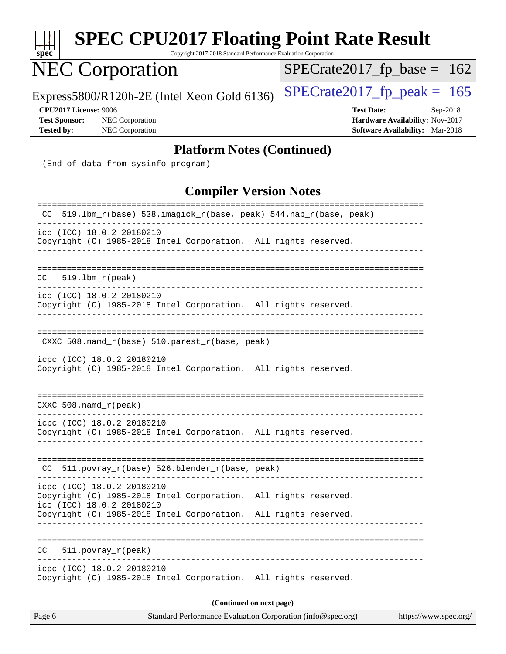| $spec^*$                                                                                                                                                                                      | <b>SPEC CPU2017 Floating Point Rate Result</b><br>Copyright 2017-2018 Standard Performance Evaluation Corporation |
|-----------------------------------------------------------------------------------------------------------------------------------------------------------------------------------------------|-------------------------------------------------------------------------------------------------------------------|
| <b>NEC Corporation</b>                                                                                                                                                                        | $SPECrate2017_fp\_base = 162$                                                                                     |
| Express5800/R120h-2E (Intel Xeon Gold 6136)                                                                                                                                                   | $SPECrate2017fp peak = 165$                                                                                       |
| CPU2017 License: 9006<br><b>Test Sponsor:</b><br>NEC Corporation<br><b>NEC Corporation</b><br><b>Tested by:</b>                                                                               | <b>Test Date:</b><br>Sep-2018<br>Hardware Availability: Nov-2017<br>Software Availability: Mar-2018               |
|                                                                                                                                                                                               | <b>Platform Notes (Continued)</b>                                                                                 |
| (End of data from sysinfo program)                                                                                                                                                            |                                                                                                                   |
|                                                                                                                                                                                               | <b>Compiler Version Notes</b>                                                                                     |
| 519.1bm_r(base) 538.imagick_r(base, peak) 544.nab_r(base, peak)                                                                                                                               |                                                                                                                   |
| icc (ICC) 18.0.2 20180210<br>Copyright (C) 1985-2018 Intel Corporation. All rights reserved.                                                                                                  |                                                                                                                   |
| 519.1bm_r(peak)<br>CC.                                                                                                                                                                        |                                                                                                                   |
| icc (ICC) 18.0.2 20180210<br>Copyright (C) 1985-2018 Intel Corporation. All rights reserved.                                                                                                  |                                                                                                                   |
| $CXXC 508.namd_r(base) 510.parest_r(base, peak)$                                                                                                                                              |                                                                                                                   |
| icpc (ICC) 18.0.2 20180210<br>Copyright (C) 1985-2018 Intel Corporation. All rights reserved.                                                                                                 |                                                                                                                   |
| CXXC 508.namd_r(peak)                                                                                                                                                                         |                                                                                                                   |
| icpc (ICC) 18.0.2 20180210<br>Copyright (C) 1985-2018 Intel Corporation. All rights reserved.                                                                                                 |                                                                                                                   |
| 511.povray_r(base) 526.blender_r(base, peak)<br>CC.                                                                                                                                           |                                                                                                                   |
| icpc (ICC) 18.0.2 20180210<br>Copyright (C) 1985-2018 Intel Corporation. All rights reserved.<br>icc (ICC) 18.0.2 20180210<br>Copyright (C) 1985-2018 Intel Corporation. All rights reserved. |                                                                                                                   |
|                                                                                                                                                                                               |                                                                                                                   |
| CC .<br>$511. povray_r (peak)$                                                                                                                                                                |                                                                                                                   |
| icpc (ICC) 18.0.2 20180210<br>Copyright (C) 1985-2018 Intel Corporation. All rights reserved.                                                                                                 |                                                                                                                   |
|                                                                                                                                                                                               | (Continued on next page)                                                                                          |
| Page 6                                                                                                                                                                                        | Standard Performance Evaluation Corporation (info@spec.org)<br>https://www.spec.org/                              |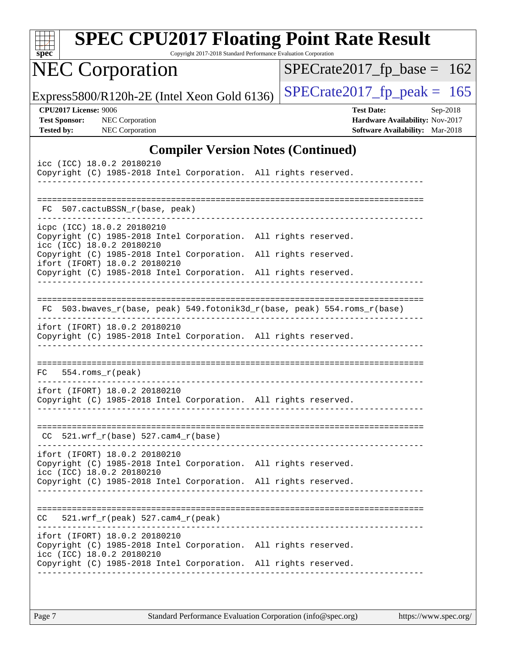| spec <sup>®</sup> |                                                      | <b>SPEC CPU2017 Floating Point Rate Result</b>                                                                                                                      | Copyright 2017-2018 Standard Performance Evaluation Corporation |  |                               |                   |                                                                           |          |
|-------------------|------------------------------------------------------|---------------------------------------------------------------------------------------------------------------------------------------------------------------------|-----------------------------------------------------------------|--|-------------------------------|-------------------|---------------------------------------------------------------------------|----------|
|                   |                                                      | <b>NEC Corporation</b>                                                                                                                                              |                                                                 |  | $SPECrate2017_fp\_base = 162$ |                   |                                                                           |          |
|                   |                                                      | Express5800/R120h-2E (Intel Xeon Gold 6136)                                                                                                                         |                                                                 |  | $SPECTate2017$ _fp_peak = 165 |                   |                                                                           |          |
| Tested by:        | <b>CPU2017 License: 9006</b><br><b>Test Sponsor:</b> | <b>NEC</b> Corporation<br>NEC Corporation                                                                                                                           |                                                                 |  |                               | <b>Test Date:</b> | Hardware Availability: Nov-2017<br><b>Software Availability:</b> Mar-2018 | Sep-2018 |
|                   |                                                      |                                                                                                                                                                     | <b>Compiler Version Notes (Continued)</b>                       |  |                               |                   |                                                                           |          |
|                   |                                                      | icc (ICC) 18.0.2 20180210<br>Copyright (C) 1985-2018 Intel Corporation. All rights reserved.                                                                        |                                                                 |  |                               |                   |                                                                           |          |
|                   |                                                      | FC 507.cactuBSSN_r(base, peak)                                                                                                                                      |                                                                 |  |                               |                   |                                                                           |          |
|                   |                                                      | icpc (ICC) 18.0.2 20180210<br>Copyright (C) 1985-2018 Intel Corporation. All rights reserved.<br>icc (ICC) 18.0.2 20180210                                          |                                                                 |  |                               |                   |                                                                           |          |
|                   |                                                      | Copyright (C) 1985-2018 Intel Corporation. All rights reserved.<br>ifort (IFORT) 18.0.2 20180210<br>Copyright (C) 1985-2018 Intel Corporation. All rights reserved. |                                                                 |  |                               |                   |                                                                           |          |
| FC.               |                                                      | 503.bwaves_r(base, peak) 549.fotonik3d_r(base, peak) 554.roms_r(base)                                                                                               |                                                                 |  |                               |                   |                                                                           |          |
|                   |                                                      | ifort (IFORT) 18.0.2 20180210<br>Copyright (C) 1985-2018 Intel Corporation. All rights reserved.                                                                    |                                                                 |  |                               |                   |                                                                           |          |
| FC.               |                                                      | $554.rows_r (peak)$                                                                                                                                                 |                                                                 |  |                               |                   |                                                                           |          |
|                   |                                                      | ifort (IFORT) 18.0.2 20180210<br>Copyright (C) 1985-2018 Intel Corporation. All rights reserved.                                                                    |                                                                 |  |                               |                   |                                                                           |          |
|                   |                                                      | $CC$ 521.wrf_r(base) 527.cam4_r(base)<br>_______________________________                                                                                            |                                                                 |  |                               |                   |                                                                           |          |
|                   |                                                      | ifort (IFORT) 18.0.2 20180210<br>Copyright (C) 1985-2018 Intel Corporation. All rights reserved.<br>icc (ICC) 18.0.2 20180210                                       |                                                                 |  |                               |                   |                                                                           |          |
|                   |                                                      | Copyright (C) 1985-2018 Intel Corporation. All rights reserved.                                                                                                     |                                                                 |  |                               |                   |                                                                           |          |
|                   |                                                      | $CC = 521.wrf_r(peak) 527.cam4_r(peak)$                                                                                                                             |                                                                 |  |                               |                   |                                                                           |          |
|                   |                                                      | ifort (IFORT) 18.0.2 20180210<br>Copyright (C) 1985-2018 Intel Corporation. All rights reserved.<br>icc (ICC) 18.0.2 20180210                                       |                                                                 |  |                               |                   |                                                                           |          |
|                   |                                                      | Copyright (C) 1985-2018 Intel Corporation. All rights reserved.                                                                                                     |                                                                 |  |                               |                   |                                                                           |          |
|                   |                                                      |                                                                                                                                                                     |                                                                 |  |                               |                   |                                                                           |          |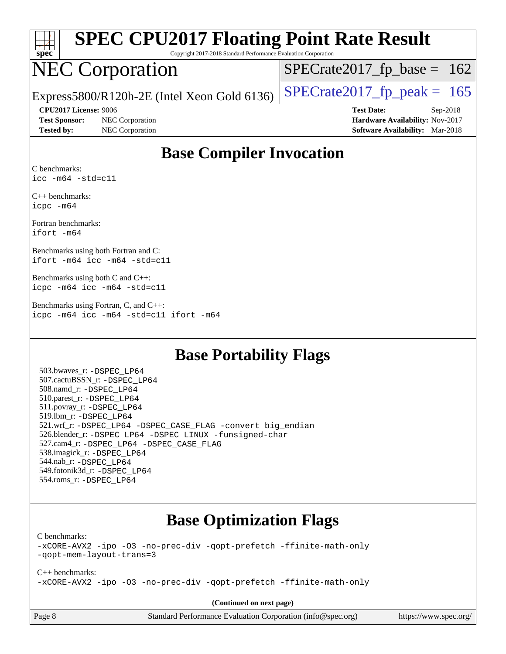| spec |  |  |  |  |  |  |
|------|--|--|--|--|--|--|

Copyright 2017-2018 Standard Performance Evaluation Corporation

# NEC Corporation

 $SPECTate2017_fp\_base = 162$ 

Express5800/R120h-2E (Intel Xeon Gold 6136)  $\left|$  [SPECrate2017\\_fp\\_peak =](http://www.spec.org/auto/cpu2017/Docs/result-fields.html#SPECrate2017fppeak) 165

**[Test Sponsor:](http://www.spec.org/auto/cpu2017/Docs/result-fields.html#TestSponsor)** NEC Corporation **[Hardware Availability:](http://www.spec.org/auto/cpu2017/Docs/result-fields.html#HardwareAvailability)** Nov-2017

**[CPU2017 License:](http://www.spec.org/auto/cpu2017/Docs/result-fields.html#CPU2017License)** 9006 **[Test Date:](http://www.spec.org/auto/cpu2017/Docs/result-fields.html#TestDate)** Sep-2018 **[Tested by:](http://www.spec.org/auto/cpu2017/Docs/result-fields.html#Testedby)** NEC Corporation **[Software Availability:](http://www.spec.org/auto/cpu2017/Docs/result-fields.html#SoftwareAvailability)** Mar-2018

## **[Base Compiler Invocation](http://www.spec.org/auto/cpu2017/Docs/result-fields.html#BaseCompilerInvocation)**

[C benchmarks](http://www.spec.org/auto/cpu2017/Docs/result-fields.html#Cbenchmarks): [icc -m64 -std=c11](http://www.spec.org/cpu2017/results/res2018q4/cpu2017-20180917-08874.flags.html#user_CCbase_intel_icc_64bit_c11_33ee0cdaae7deeeab2a9725423ba97205ce30f63b9926c2519791662299b76a0318f32ddfffdc46587804de3178b4f9328c46fa7c2b0cd779d7a61945c91cd35)

[C++ benchmarks:](http://www.spec.org/auto/cpu2017/Docs/result-fields.html#CXXbenchmarks) [icpc -m64](http://www.spec.org/cpu2017/results/res2018q4/cpu2017-20180917-08874.flags.html#user_CXXbase_intel_icpc_64bit_4ecb2543ae3f1412ef961e0650ca070fec7b7afdcd6ed48761b84423119d1bf6bdf5cad15b44d48e7256388bc77273b966e5eb805aefd121eb22e9299b2ec9d9)

[Fortran benchmarks:](http://www.spec.org/auto/cpu2017/Docs/result-fields.html#Fortranbenchmarks) [ifort -m64](http://www.spec.org/cpu2017/results/res2018q4/cpu2017-20180917-08874.flags.html#user_FCbase_intel_ifort_64bit_24f2bb282fbaeffd6157abe4f878425411749daecae9a33200eee2bee2fe76f3b89351d69a8130dd5949958ce389cf37ff59a95e7a40d588e8d3a57e0c3fd751)

[Benchmarks using both Fortran and C](http://www.spec.org/auto/cpu2017/Docs/result-fields.html#BenchmarksusingbothFortranandC): [ifort -m64](http://www.spec.org/cpu2017/results/res2018q4/cpu2017-20180917-08874.flags.html#user_CC_FCbase_intel_ifort_64bit_24f2bb282fbaeffd6157abe4f878425411749daecae9a33200eee2bee2fe76f3b89351d69a8130dd5949958ce389cf37ff59a95e7a40d588e8d3a57e0c3fd751) [icc -m64 -std=c11](http://www.spec.org/cpu2017/results/res2018q4/cpu2017-20180917-08874.flags.html#user_CC_FCbase_intel_icc_64bit_c11_33ee0cdaae7deeeab2a9725423ba97205ce30f63b9926c2519791662299b76a0318f32ddfffdc46587804de3178b4f9328c46fa7c2b0cd779d7a61945c91cd35)

[Benchmarks using both C and C++:](http://www.spec.org/auto/cpu2017/Docs/result-fields.html#BenchmarksusingbothCandCXX) [icpc -m64](http://www.spec.org/cpu2017/results/res2018q4/cpu2017-20180917-08874.flags.html#user_CC_CXXbase_intel_icpc_64bit_4ecb2543ae3f1412ef961e0650ca070fec7b7afdcd6ed48761b84423119d1bf6bdf5cad15b44d48e7256388bc77273b966e5eb805aefd121eb22e9299b2ec9d9) [icc -m64 -std=c11](http://www.spec.org/cpu2017/results/res2018q4/cpu2017-20180917-08874.flags.html#user_CC_CXXbase_intel_icc_64bit_c11_33ee0cdaae7deeeab2a9725423ba97205ce30f63b9926c2519791662299b76a0318f32ddfffdc46587804de3178b4f9328c46fa7c2b0cd779d7a61945c91cd35)

[Benchmarks using Fortran, C, and C++](http://www.spec.org/auto/cpu2017/Docs/result-fields.html#BenchmarksusingFortranCandCXX): [icpc -m64](http://www.spec.org/cpu2017/results/res2018q4/cpu2017-20180917-08874.flags.html#user_CC_CXX_FCbase_intel_icpc_64bit_4ecb2543ae3f1412ef961e0650ca070fec7b7afdcd6ed48761b84423119d1bf6bdf5cad15b44d48e7256388bc77273b966e5eb805aefd121eb22e9299b2ec9d9) [icc -m64 -std=c11](http://www.spec.org/cpu2017/results/res2018q4/cpu2017-20180917-08874.flags.html#user_CC_CXX_FCbase_intel_icc_64bit_c11_33ee0cdaae7deeeab2a9725423ba97205ce30f63b9926c2519791662299b76a0318f32ddfffdc46587804de3178b4f9328c46fa7c2b0cd779d7a61945c91cd35) [ifort -m64](http://www.spec.org/cpu2017/results/res2018q4/cpu2017-20180917-08874.flags.html#user_CC_CXX_FCbase_intel_ifort_64bit_24f2bb282fbaeffd6157abe4f878425411749daecae9a33200eee2bee2fe76f3b89351d69a8130dd5949958ce389cf37ff59a95e7a40d588e8d3a57e0c3fd751)

### **[Base Portability Flags](http://www.spec.org/auto/cpu2017/Docs/result-fields.html#BasePortabilityFlags)**

 503.bwaves\_r: [-DSPEC\\_LP64](http://www.spec.org/cpu2017/results/res2018q4/cpu2017-20180917-08874.flags.html#suite_basePORTABILITY503_bwaves_r_DSPEC_LP64) 507.cactuBSSN\_r: [-DSPEC\\_LP64](http://www.spec.org/cpu2017/results/res2018q4/cpu2017-20180917-08874.flags.html#suite_basePORTABILITY507_cactuBSSN_r_DSPEC_LP64) 508.namd\_r: [-DSPEC\\_LP64](http://www.spec.org/cpu2017/results/res2018q4/cpu2017-20180917-08874.flags.html#suite_basePORTABILITY508_namd_r_DSPEC_LP64) 510.parest\_r: [-DSPEC\\_LP64](http://www.spec.org/cpu2017/results/res2018q4/cpu2017-20180917-08874.flags.html#suite_basePORTABILITY510_parest_r_DSPEC_LP64) 511.povray\_r: [-DSPEC\\_LP64](http://www.spec.org/cpu2017/results/res2018q4/cpu2017-20180917-08874.flags.html#suite_basePORTABILITY511_povray_r_DSPEC_LP64) 519.lbm\_r: [-DSPEC\\_LP64](http://www.spec.org/cpu2017/results/res2018q4/cpu2017-20180917-08874.flags.html#suite_basePORTABILITY519_lbm_r_DSPEC_LP64) 521.wrf\_r: [-DSPEC\\_LP64](http://www.spec.org/cpu2017/results/res2018q4/cpu2017-20180917-08874.flags.html#suite_basePORTABILITY521_wrf_r_DSPEC_LP64) [-DSPEC\\_CASE\\_FLAG](http://www.spec.org/cpu2017/results/res2018q4/cpu2017-20180917-08874.flags.html#b521.wrf_r_baseCPORTABILITY_DSPEC_CASE_FLAG) [-convert big\\_endian](http://www.spec.org/cpu2017/results/res2018q4/cpu2017-20180917-08874.flags.html#user_baseFPORTABILITY521_wrf_r_convert_big_endian_c3194028bc08c63ac5d04de18c48ce6d347e4e562e8892b8bdbdc0214820426deb8554edfa529a3fb25a586e65a3d812c835984020483e7e73212c4d31a38223) 526.blender\_r: [-DSPEC\\_LP64](http://www.spec.org/cpu2017/results/res2018q4/cpu2017-20180917-08874.flags.html#suite_basePORTABILITY526_blender_r_DSPEC_LP64) [-DSPEC\\_LINUX](http://www.spec.org/cpu2017/results/res2018q4/cpu2017-20180917-08874.flags.html#b526.blender_r_baseCPORTABILITY_DSPEC_LINUX) [-funsigned-char](http://www.spec.org/cpu2017/results/res2018q4/cpu2017-20180917-08874.flags.html#user_baseCPORTABILITY526_blender_r_force_uchar_40c60f00ab013830e2dd6774aeded3ff59883ba5a1fc5fc14077f794d777847726e2a5858cbc7672e36e1b067e7e5c1d9a74f7176df07886a243d7cc18edfe67) 527.cam4\_r: [-DSPEC\\_LP64](http://www.spec.org/cpu2017/results/res2018q4/cpu2017-20180917-08874.flags.html#suite_basePORTABILITY527_cam4_r_DSPEC_LP64) [-DSPEC\\_CASE\\_FLAG](http://www.spec.org/cpu2017/results/res2018q4/cpu2017-20180917-08874.flags.html#b527.cam4_r_baseCPORTABILITY_DSPEC_CASE_FLAG) 538.imagick\_r: [-DSPEC\\_LP64](http://www.spec.org/cpu2017/results/res2018q4/cpu2017-20180917-08874.flags.html#suite_basePORTABILITY538_imagick_r_DSPEC_LP64) 544.nab\_r: [-DSPEC\\_LP64](http://www.spec.org/cpu2017/results/res2018q4/cpu2017-20180917-08874.flags.html#suite_basePORTABILITY544_nab_r_DSPEC_LP64) 549.fotonik3d\_r: [-DSPEC\\_LP64](http://www.spec.org/cpu2017/results/res2018q4/cpu2017-20180917-08874.flags.html#suite_basePORTABILITY549_fotonik3d_r_DSPEC_LP64) 554.roms\_r: [-DSPEC\\_LP64](http://www.spec.org/cpu2017/results/res2018q4/cpu2017-20180917-08874.flags.html#suite_basePORTABILITY554_roms_r_DSPEC_LP64)

## **[Base Optimization Flags](http://www.spec.org/auto/cpu2017/Docs/result-fields.html#BaseOptimizationFlags)**

[C benchmarks](http://www.spec.org/auto/cpu2017/Docs/result-fields.html#Cbenchmarks):

[-xCORE-AVX2](http://www.spec.org/cpu2017/results/res2018q4/cpu2017-20180917-08874.flags.html#user_CCbase_f-xCORE-AVX2) [-ipo](http://www.spec.org/cpu2017/results/res2018q4/cpu2017-20180917-08874.flags.html#user_CCbase_f-ipo) [-O3](http://www.spec.org/cpu2017/results/res2018q4/cpu2017-20180917-08874.flags.html#user_CCbase_f-O3) [-no-prec-div](http://www.spec.org/cpu2017/results/res2018q4/cpu2017-20180917-08874.flags.html#user_CCbase_f-no-prec-div) [-qopt-prefetch](http://www.spec.org/cpu2017/results/res2018q4/cpu2017-20180917-08874.flags.html#user_CCbase_f-qopt-prefetch) [-ffinite-math-only](http://www.spec.org/cpu2017/results/res2018q4/cpu2017-20180917-08874.flags.html#user_CCbase_f_finite_math_only_cb91587bd2077682c4b38af759c288ed7c732db004271a9512da14a4f8007909a5f1427ecbf1a0fb78ff2a814402c6114ac565ca162485bbcae155b5e4258871) [-qopt-mem-layout-trans=3](http://www.spec.org/cpu2017/results/res2018q4/cpu2017-20180917-08874.flags.html#user_CCbase_f-qopt-mem-layout-trans_de80db37974c74b1f0e20d883f0b675c88c3b01e9d123adea9b28688d64333345fb62bc4a798493513fdb68f60282f9a726aa07f478b2f7113531aecce732043)

[C++ benchmarks:](http://www.spec.org/auto/cpu2017/Docs/result-fields.html#CXXbenchmarks) [-xCORE-AVX2](http://www.spec.org/cpu2017/results/res2018q4/cpu2017-20180917-08874.flags.html#user_CXXbase_f-xCORE-AVX2) [-ipo](http://www.spec.org/cpu2017/results/res2018q4/cpu2017-20180917-08874.flags.html#user_CXXbase_f-ipo) [-O3](http://www.spec.org/cpu2017/results/res2018q4/cpu2017-20180917-08874.flags.html#user_CXXbase_f-O3) [-no-prec-div](http://www.spec.org/cpu2017/results/res2018q4/cpu2017-20180917-08874.flags.html#user_CXXbase_f-no-prec-div) [-qopt-prefetch](http://www.spec.org/cpu2017/results/res2018q4/cpu2017-20180917-08874.flags.html#user_CXXbase_f-qopt-prefetch) [-ffinite-math-only](http://www.spec.org/cpu2017/results/res2018q4/cpu2017-20180917-08874.flags.html#user_CXXbase_f_finite_math_only_cb91587bd2077682c4b38af759c288ed7c732db004271a9512da14a4f8007909a5f1427ecbf1a0fb78ff2a814402c6114ac565ca162485bbcae155b5e4258871)

**(Continued on next page)**

| age 8 |  |  |  |
|-------|--|--|--|
|-------|--|--|--|

Page 8 Standard Performance Evaluation Corporation [\(info@spec.org\)](mailto:info@spec.org) <https://www.spec.org/>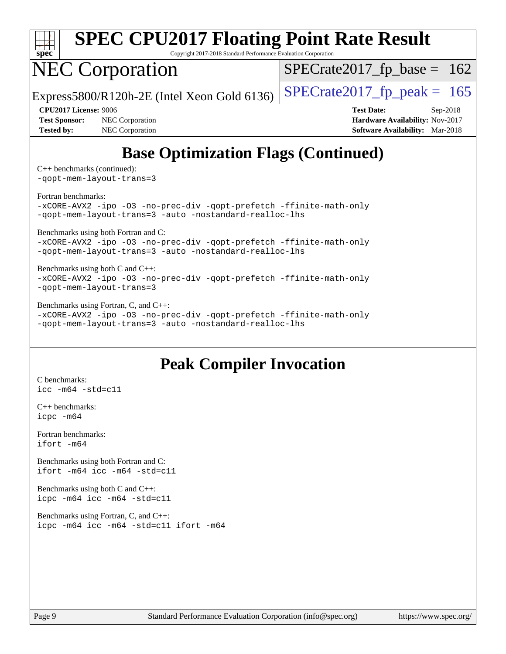

Copyright 2017-2018 Standard Performance Evaluation Corporation

# NEC Corporation

 $SPECrate2017_fp\_base = 162$ 

Express5800/R120h-2E (Intel Xeon Gold 6136)  $\left|$  [SPECrate2017\\_fp\\_peak =](http://www.spec.org/auto/cpu2017/Docs/result-fields.html#SPECrate2017fppeak) 165

**[Test Sponsor:](http://www.spec.org/auto/cpu2017/Docs/result-fields.html#TestSponsor)** NEC Corporation **[Hardware Availability:](http://www.spec.org/auto/cpu2017/Docs/result-fields.html#HardwareAvailability)** Nov-2017 **[Tested by:](http://www.spec.org/auto/cpu2017/Docs/result-fields.html#Testedby)** NEC Corporation **[Software Availability:](http://www.spec.org/auto/cpu2017/Docs/result-fields.html#SoftwareAvailability)** Mar-2018

**[CPU2017 License:](http://www.spec.org/auto/cpu2017/Docs/result-fields.html#CPU2017License)** 9006 **[Test Date:](http://www.spec.org/auto/cpu2017/Docs/result-fields.html#TestDate)** Sep-2018

# **[Base Optimization Flags \(Continued\)](http://www.spec.org/auto/cpu2017/Docs/result-fields.html#BaseOptimizationFlags)**

[C++ benchmarks](http://www.spec.org/auto/cpu2017/Docs/result-fields.html#CXXbenchmarks) (continued): [-qopt-mem-layout-trans=3](http://www.spec.org/cpu2017/results/res2018q4/cpu2017-20180917-08874.flags.html#user_CXXbase_f-qopt-mem-layout-trans_de80db37974c74b1f0e20d883f0b675c88c3b01e9d123adea9b28688d64333345fb62bc4a798493513fdb68f60282f9a726aa07f478b2f7113531aecce732043)

[Fortran benchmarks](http://www.spec.org/auto/cpu2017/Docs/result-fields.html#Fortranbenchmarks):

[-xCORE-AVX2](http://www.spec.org/cpu2017/results/res2018q4/cpu2017-20180917-08874.flags.html#user_FCbase_f-xCORE-AVX2) [-ipo](http://www.spec.org/cpu2017/results/res2018q4/cpu2017-20180917-08874.flags.html#user_FCbase_f-ipo) [-O3](http://www.spec.org/cpu2017/results/res2018q4/cpu2017-20180917-08874.flags.html#user_FCbase_f-O3) [-no-prec-div](http://www.spec.org/cpu2017/results/res2018q4/cpu2017-20180917-08874.flags.html#user_FCbase_f-no-prec-div) [-qopt-prefetch](http://www.spec.org/cpu2017/results/res2018q4/cpu2017-20180917-08874.flags.html#user_FCbase_f-qopt-prefetch) [-ffinite-math-only](http://www.spec.org/cpu2017/results/res2018q4/cpu2017-20180917-08874.flags.html#user_FCbase_f_finite_math_only_cb91587bd2077682c4b38af759c288ed7c732db004271a9512da14a4f8007909a5f1427ecbf1a0fb78ff2a814402c6114ac565ca162485bbcae155b5e4258871) [-qopt-mem-layout-trans=3](http://www.spec.org/cpu2017/results/res2018q4/cpu2017-20180917-08874.flags.html#user_FCbase_f-qopt-mem-layout-trans_de80db37974c74b1f0e20d883f0b675c88c3b01e9d123adea9b28688d64333345fb62bc4a798493513fdb68f60282f9a726aa07f478b2f7113531aecce732043) [-auto](http://www.spec.org/cpu2017/results/res2018q4/cpu2017-20180917-08874.flags.html#user_FCbase_f-auto) [-nostandard-realloc-lhs](http://www.spec.org/cpu2017/results/res2018q4/cpu2017-20180917-08874.flags.html#user_FCbase_f_2003_std_realloc_82b4557e90729c0f113870c07e44d33d6f5a304b4f63d4c15d2d0f1fab99f5daaed73bdb9275d9ae411527f28b936061aa8b9c8f2d63842963b95c9dd6426b8a)

[Benchmarks using both Fortran and C](http://www.spec.org/auto/cpu2017/Docs/result-fields.html#BenchmarksusingbothFortranandC):

[-xCORE-AVX2](http://www.spec.org/cpu2017/results/res2018q4/cpu2017-20180917-08874.flags.html#user_CC_FCbase_f-xCORE-AVX2) [-ipo](http://www.spec.org/cpu2017/results/res2018q4/cpu2017-20180917-08874.flags.html#user_CC_FCbase_f-ipo) [-O3](http://www.spec.org/cpu2017/results/res2018q4/cpu2017-20180917-08874.flags.html#user_CC_FCbase_f-O3) [-no-prec-div](http://www.spec.org/cpu2017/results/res2018q4/cpu2017-20180917-08874.flags.html#user_CC_FCbase_f-no-prec-div) [-qopt-prefetch](http://www.spec.org/cpu2017/results/res2018q4/cpu2017-20180917-08874.flags.html#user_CC_FCbase_f-qopt-prefetch) [-ffinite-math-only](http://www.spec.org/cpu2017/results/res2018q4/cpu2017-20180917-08874.flags.html#user_CC_FCbase_f_finite_math_only_cb91587bd2077682c4b38af759c288ed7c732db004271a9512da14a4f8007909a5f1427ecbf1a0fb78ff2a814402c6114ac565ca162485bbcae155b5e4258871) [-qopt-mem-layout-trans=3](http://www.spec.org/cpu2017/results/res2018q4/cpu2017-20180917-08874.flags.html#user_CC_FCbase_f-qopt-mem-layout-trans_de80db37974c74b1f0e20d883f0b675c88c3b01e9d123adea9b28688d64333345fb62bc4a798493513fdb68f60282f9a726aa07f478b2f7113531aecce732043) [-auto](http://www.spec.org/cpu2017/results/res2018q4/cpu2017-20180917-08874.flags.html#user_CC_FCbase_f-auto) [-nostandard-realloc-lhs](http://www.spec.org/cpu2017/results/res2018q4/cpu2017-20180917-08874.flags.html#user_CC_FCbase_f_2003_std_realloc_82b4557e90729c0f113870c07e44d33d6f5a304b4f63d4c15d2d0f1fab99f5daaed73bdb9275d9ae411527f28b936061aa8b9c8f2d63842963b95c9dd6426b8a)

### [Benchmarks using both C and C++](http://www.spec.org/auto/cpu2017/Docs/result-fields.html#BenchmarksusingbothCandCXX):

[-xCORE-AVX2](http://www.spec.org/cpu2017/results/res2018q4/cpu2017-20180917-08874.flags.html#user_CC_CXXbase_f-xCORE-AVX2) [-ipo](http://www.spec.org/cpu2017/results/res2018q4/cpu2017-20180917-08874.flags.html#user_CC_CXXbase_f-ipo) [-O3](http://www.spec.org/cpu2017/results/res2018q4/cpu2017-20180917-08874.flags.html#user_CC_CXXbase_f-O3) [-no-prec-div](http://www.spec.org/cpu2017/results/res2018q4/cpu2017-20180917-08874.flags.html#user_CC_CXXbase_f-no-prec-div) [-qopt-prefetch](http://www.spec.org/cpu2017/results/res2018q4/cpu2017-20180917-08874.flags.html#user_CC_CXXbase_f-qopt-prefetch) [-ffinite-math-only](http://www.spec.org/cpu2017/results/res2018q4/cpu2017-20180917-08874.flags.html#user_CC_CXXbase_f_finite_math_only_cb91587bd2077682c4b38af759c288ed7c732db004271a9512da14a4f8007909a5f1427ecbf1a0fb78ff2a814402c6114ac565ca162485bbcae155b5e4258871) [-qopt-mem-layout-trans=3](http://www.spec.org/cpu2017/results/res2018q4/cpu2017-20180917-08874.flags.html#user_CC_CXXbase_f-qopt-mem-layout-trans_de80db37974c74b1f0e20d883f0b675c88c3b01e9d123adea9b28688d64333345fb62bc4a798493513fdb68f60282f9a726aa07f478b2f7113531aecce732043)

[Benchmarks using Fortran, C, and C++:](http://www.spec.org/auto/cpu2017/Docs/result-fields.html#BenchmarksusingFortranCandCXX)

[-xCORE-AVX2](http://www.spec.org/cpu2017/results/res2018q4/cpu2017-20180917-08874.flags.html#user_CC_CXX_FCbase_f-xCORE-AVX2) [-ipo](http://www.spec.org/cpu2017/results/res2018q4/cpu2017-20180917-08874.flags.html#user_CC_CXX_FCbase_f-ipo) [-O3](http://www.spec.org/cpu2017/results/res2018q4/cpu2017-20180917-08874.flags.html#user_CC_CXX_FCbase_f-O3) [-no-prec-div](http://www.spec.org/cpu2017/results/res2018q4/cpu2017-20180917-08874.flags.html#user_CC_CXX_FCbase_f-no-prec-div) [-qopt-prefetch](http://www.spec.org/cpu2017/results/res2018q4/cpu2017-20180917-08874.flags.html#user_CC_CXX_FCbase_f-qopt-prefetch) [-ffinite-math-only](http://www.spec.org/cpu2017/results/res2018q4/cpu2017-20180917-08874.flags.html#user_CC_CXX_FCbase_f_finite_math_only_cb91587bd2077682c4b38af759c288ed7c732db004271a9512da14a4f8007909a5f1427ecbf1a0fb78ff2a814402c6114ac565ca162485bbcae155b5e4258871) [-qopt-mem-layout-trans=3](http://www.spec.org/cpu2017/results/res2018q4/cpu2017-20180917-08874.flags.html#user_CC_CXX_FCbase_f-qopt-mem-layout-trans_de80db37974c74b1f0e20d883f0b675c88c3b01e9d123adea9b28688d64333345fb62bc4a798493513fdb68f60282f9a726aa07f478b2f7113531aecce732043) [-auto](http://www.spec.org/cpu2017/results/res2018q4/cpu2017-20180917-08874.flags.html#user_CC_CXX_FCbase_f-auto) [-nostandard-realloc-lhs](http://www.spec.org/cpu2017/results/res2018q4/cpu2017-20180917-08874.flags.html#user_CC_CXX_FCbase_f_2003_std_realloc_82b4557e90729c0f113870c07e44d33d6f5a304b4f63d4c15d2d0f1fab99f5daaed73bdb9275d9ae411527f28b936061aa8b9c8f2d63842963b95c9dd6426b8a)

## **[Peak Compiler Invocation](http://www.spec.org/auto/cpu2017/Docs/result-fields.html#PeakCompilerInvocation)**

[C benchmarks](http://www.spec.org/auto/cpu2017/Docs/result-fields.html#Cbenchmarks): [icc -m64 -std=c11](http://www.spec.org/cpu2017/results/res2018q4/cpu2017-20180917-08874.flags.html#user_CCpeak_intel_icc_64bit_c11_33ee0cdaae7deeeab2a9725423ba97205ce30f63b9926c2519791662299b76a0318f32ddfffdc46587804de3178b4f9328c46fa7c2b0cd779d7a61945c91cd35)

[C++ benchmarks:](http://www.spec.org/auto/cpu2017/Docs/result-fields.html#CXXbenchmarks) [icpc -m64](http://www.spec.org/cpu2017/results/res2018q4/cpu2017-20180917-08874.flags.html#user_CXXpeak_intel_icpc_64bit_4ecb2543ae3f1412ef961e0650ca070fec7b7afdcd6ed48761b84423119d1bf6bdf5cad15b44d48e7256388bc77273b966e5eb805aefd121eb22e9299b2ec9d9)

[Fortran benchmarks](http://www.spec.org/auto/cpu2017/Docs/result-fields.html#Fortranbenchmarks): [ifort -m64](http://www.spec.org/cpu2017/results/res2018q4/cpu2017-20180917-08874.flags.html#user_FCpeak_intel_ifort_64bit_24f2bb282fbaeffd6157abe4f878425411749daecae9a33200eee2bee2fe76f3b89351d69a8130dd5949958ce389cf37ff59a95e7a40d588e8d3a57e0c3fd751)

[Benchmarks using both Fortran and C](http://www.spec.org/auto/cpu2017/Docs/result-fields.html#BenchmarksusingbothFortranandC): [ifort -m64](http://www.spec.org/cpu2017/results/res2018q4/cpu2017-20180917-08874.flags.html#user_CC_FCpeak_intel_ifort_64bit_24f2bb282fbaeffd6157abe4f878425411749daecae9a33200eee2bee2fe76f3b89351d69a8130dd5949958ce389cf37ff59a95e7a40d588e8d3a57e0c3fd751) [icc -m64 -std=c11](http://www.spec.org/cpu2017/results/res2018q4/cpu2017-20180917-08874.flags.html#user_CC_FCpeak_intel_icc_64bit_c11_33ee0cdaae7deeeab2a9725423ba97205ce30f63b9926c2519791662299b76a0318f32ddfffdc46587804de3178b4f9328c46fa7c2b0cd779d7a61945c91cd35)

[Benchmarks using both C and C++](http://www.spec.org/auto/cpu2017/Docs/result-fields.html#BenchmarksusingbothCandCXX): [icpc -m64](http://www.spec.org/cpu2017/results/res2018q4/cpu2017-20180917-08874.flags.html#user_CC_CXXpeak_intel_icpc_64bit_4ecb2543ae3f1412ef961e0650ca070fec7b7afdcd6ed48761b84423119d1bf6bdf5cad15b44d48e7256388bc77273b966e5eb805aefd121eb22e9299b2ec9d9) [icc -m64 -std=c11](http://www.spec.org/cpu2017/results/res2018q4/cpu2017-20180917-08874.flags.html#user_CC_CXXpeak_intel_icc_64bit_c11_33ee0cdaae7deeeab2a9725423ba97205ce30f63b9926c2519791662299b76a0318f32ddfffdc46587804de3178b4f9328c46fa7c2b0cd779d7a61945c91cd35)

[Benchmarks using Fortran, C, and C++:](http://www.spec.org/auto/cpu2017/Docs/result-fields.html#BenchmarksusingFortranCandCXX) [icpc -m64](http://www.spec.org/cpu2017/results/res2018q4/cpu2017-20180917-08874.flags.html#user_CC_CXX_FCpeak_intel_icpc_64bit_4ecb2543ae3f1412ef961e0650ca070fec7b7afdcd6ed48761b84423119d1bf6bdf5cad15b44d48e7256388bc77273b966e5eb805aefd121eb22e9299b2ec9d9) [icc -m64 -std=c11](http://www.spec.org/cpu2017/results/res2018q4/cpu2017-20180917-08874.flags.html#user_CC_CXX_FCpeak_intel_icc_64bit_c11_33ee0cdaae7deeeab2a9725423ba97205ce30f63b9926c2519791662299b76a0318f32ddfffdc46587804de3178b4f9328c46fa7c2b0cd779d7a61945c91cd35) [ifort -m64](http://www.spec.org/cpu2017/results/res2018q4/cpu2017-20180917-08874.flags.html#user_CC_CXX_FCpeak_intel_ifort_64bit_24f2bb282fbaeffd6157abe4f878425411749daecae9a33200eee2bee2fe76f3b89351d69a8130dd5949958ce389cf37ff59a95e7a40d588e8d3a57e0c3fd751)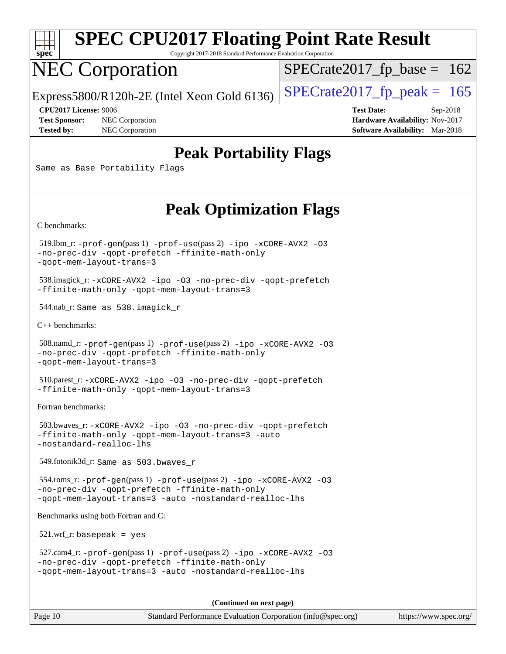

Copyright 2017-2018 Standard Performance Evaluation Corporation

# NEC Corporation

 $SPECTate2017_fp\_base = 162$ 

Express5800/R120h-2E (Intel Xeon Gold 6136)  $\left|$  [SPECrate2017\\_fp\\_peak =](http://www.spec.org/auto/cpu2017/Docs/result-fields.html#SPECrate2017fppeak) 165

**[Test Sponsor:](http://www.spec.org/auto/cpu2017/Docs/result-fields.html#TestSponsor)** NEC Corporation **[Hardware Availability:](http://www.spec.org/auto/cpu2017/Docs/result-fields.html#HardwareAvailability)** Nov-2017 **[Tested by:](http://www.spec.org/auto/cpu2017/Docs/result-fields.html#Testedby)** NEC Corporation **[Software Availability:](http://www.spec.org/auto/cpu2017/Docs/result-fields.html#SoftwareAvailability)** Mar-2018

**[CPU2017 License:](http://www.spec.org/auto/cpu2017/Docs/result-fields.html#CPU2017License)** 9006 **[Test Date:](http://www.spec.org/auto/cpu2017/Docs/result-fields.html#TestDate)** Sep-2018

## **[Peak Portability Flags](http://www.spec.org/auto/cpu2017/Docs/result-fields.html#PeakPortabilityFlags)**

Same as Base Portability Flags

## **[Peak Optimization Flags](http://www.spec.org/auto/cpu2017/Docs/result-fields.html#PeakOptimizationFlags)**

[C benchmarks](http://www.spec.org/auto/cpu2017/Docs/result-fields.html#Cbenchmarks):

 519.lbm\_r: [-prof-gen](http://www.spec.org/cpu2017/results/res2018q4/cpu2017-20180917-08874.flags.html#user_peakPASS1_CFLAGSPASS1_LDFLAGS519_lbm_r_prof_gen_5aa4926d6013ddb2a31985c654b3eb18169fc0c6952a63635c234f711e6e63dd76e94ad52365559451ec499a2cdb89e4dc58ba4c67ef54ca681ffbe1461d6b36)(pass 1) [-prof-use](http://www.spec.org/cpu2017/results/res2018q4/cpu2017-20180917-08874.flags.html#user_peakPASS2_CFLAGSPASS2_LDFLAGS519_lbm_r_prof_use_1a21ceae95f36a2b53c25747139a6c16ca95bd9def2a207b4f0849963b97e94f5260e30a0c64f4bb623698870e679ca08317ef8150905d41bd88c6f78df73f19)(pass 2) [-ipo](http://www.spec.org/cpu2017/results/res2018q4/cpu2017-20180917-08874.flags.html#user_peakPASS1_COPTIMIZEPASS2_COPTIMIZE519_lbm_r_f-ipo) [-xCORE-AVX2](http://www.spec.org/cpu2017/results/res2018q4/cpu2017-20180917-08874.flags.html#user_peakPASS2_COPTIMIZE519_lbm_r_f-xCORE-AVX2) [-O3](http://www.spec.org/cpu2017/results/res2018q4/cpu2017-20180917-08874.flags.html#user_peakPASS1_COPTIMIZEPASS2_COPTIMIZE519_lbm_r_f-O3) [-no-prec-div](http://www.spec.org/cpu2017/results/res2018q4/cpu2017-20180917-08874.flags.html#user_peakPASS1_COPTIMIZEPASS2_COPTIMIZE519_lbm_r_f-no-prec-div) [-qopt-prefetch](http://www.spec.org/cpu2017/results/res2018q4/cpu2017-20180917-08874.flags.html#user_peakPASS1_COPTIMIZEPASS2_COPTIMIZE519_lbm_r_f-qopt-prefetch) [-ffinite-math-only](http://www.spec.org/cpu2017/results/res2018q4/cpu2017-20180917-08874.flags.html#user_peakPASS1_COPTIMIZEPASS2_COPTIMIZE519_lbm_r_f_finite_math_only_cb91587bd2077682c4b38af759c288ed7c732db004271a9512da14a4f8007909a5f1427ecbf1a0fb78ff2a814402c6114ac565ca162485bbcae155b5e4258871) [-qopt-mem-layout-trans=3](http://www.spec.org/cpu2017/results/res2018q4/cpu2017-20180917-08874.flags.html#user_peakPASS1_COPTIMIZEPASS2_COPTIMIZE519_lbm_r_f-qopt-mem-layout-trans_de80db37974c74b1f0e20d883f0b675c88c3b01e9d123adea9b28688d64333345fb62bc4a798493513fdb68f60282f9a726aa07f478b2f7113531aecce732043)

 538.imagick\_r: [-xCORE-AVX2](http://www.spec.org/cpu2017/results/res2018q4/cpu2017-20180917-08874.flags.html#user_peakCOPTIMIZE538_imagick_r_f-xCORE-AVX2) [-ipo](http://www.spec.org/cpu2017/results/res2018q4/cpu2017-20180917-08874.flags.html#user_peakCOPTIMIZE538_imagick_r_f-ipo) [-O3](http://www.spec.org/cpu2017/results/res2018q4/cpu2017-20180917-08874.flags.html#user_peakCOPTIMIZE538_imagick_r_f-O3) [-no-prec-div](http://www.spec.org/cpu2017/results/res2018q4/cpu2017-20180917-08874.flags.html#user_peakCOPTIMIZE538_imagick_r_f-no-prec-div) [-qopt-prefetch](http://www.spec.org/cpu2017/results/res2018q4/cpu2017-20180917-08874.flags.html#user_peakCOPTIMIZE538_imagick_r_f-qopt-prefetch) [-ffinite-math-only](http://www.spec.org/cpu2017/results/res2018q4/cpu2017-20180917-08874.flags.html#user_peakCOPTIMIZE538_imagick_r_f_finite_math_only_cb91587bd2077682c4b38af759c288ed7c732db004271a9512da14a4f8007909a5f1427ecbf1a0fb78ff2a814402c6114ac565ca162485bbcae155b5e4258871) [-qopt-mem-layout-trans=3](http://www.spec.org/cpu2017/results/res2018q4/cpu2017-20180917-08874.flags.html#user_peakCOPTIMIZE538_imagick_r_f-qopt-mem-layout-trans_de80db37974c74b1f0e20d883f0b675c88c3b01e9d123adea9b28688d64333345fb62bc4a798493513fdb68f60282f9a726aa07f478b2f7113531aecce732043)

544.nab\_r: Same as 538.imagick\_r

[C++ benchmarks:](http://www.spec.org/auto/cpu2017/Docs/result-fields.html#CXXbenchmarks)

```
 508.namd_r: -prof-gen(pass 1) -prof-use(pass 2) -ipo -xCORE-AVX2 -O3
-no-prec-div -qopt-prefetch -ffinite-math-only
-qopt-mem-layout-trans=3
```
 510.parest\_r: [-xCORE-AVX2](http://www.spec.org/cpu2017/results/res2018q4/cpu2017-20180917-08874.flags.html#user_peakCXXOPTIMIZE510_parest_r_f-xCORE-AVX2) [-ipo](http://www.spec.org/cpu2017/results/res2018q4/cpu2017-20180917-08874.flags.html#user_peakCXXOPTIMIZE510_parest_r_f-ipo) [-O3](http://www.spec.org/cpu2017/results/res2018q4/cpu2017-20180917-08874.flags.html#user_peakCXXOPTIMIZE510_parest_r_f-O3) [-no-prec-div](http://www.spec.org/cpu2017/results/res2018q4/cpu2017-20180917-08874.flags.html#user_peakCXXOPTIMIZE510_parest_r_f-no-prec-div) [-qopt-prefetch](http://www.spec.org/cpu2017/results/res2018q4/cpu2017-20180917-08874.flags.html#user_peakCXXOPTIMIZE510_parest_r_f-qopt-prefetch) [-ffinite-math-only](http://www.spec.org/cpu2017/results/res2018q4/cpu2017-20180917-08874.flags.html#user_peakCXXOPTIMIZE510_parest_r_f_finite_math_only_cb91587bd2077682c4b38af759c288ed7c732db004271a9512da14a4f8007909a5f1427ecbf1a0fb78ff2a814402c6114ac565ca162485bbcae155b5e4258871) [-qopt-mem-layout-trans=3](http://www.spec.org/cpu2017/results/res2018q4/cpu2017-20180917-08874.flags.html#user_peakCXXOPTIMIZE510_parest_r_f-qopt-mem-layout-trans_de80db37974c74b1f0e20d883f0b675c88c3b01e9d123adea9b28688d64333345fb62bc4a798493513fdb68f60282f9a726aa07f478b2f7113531aecce732043)

[Fortran benchmarks](http://www.spec.org/auto/cpu2017/Docs/result-fields.html#Fortranbenchmarks):

```
 503.bwaves_r: -xCORE-AVX2 -ipo -O3 -no-prec-div -qopt-prefetch
-ffinite-math-only -qopt-mem-layout-trans=3 -auto
-nostandard-realloc-lhs
```
549.fotonik3d\_r: Same as 503.bwaves\_r

```
 554.roms_r: -prof-gen(pass 1) -prof-use(pass 2) -ipo -xCORE-AVX2 -O3
-no-prec-div -qopt-prefetch -ffinite-math-only
-qopt-mem-layout-trans=3 -auto -nostandard-realloc-lhs
```
[Benchmarks using both Fortran and C](http://www.spec.org/auto/cpu2017/Docs/result-fields.html#BenchmarksusingbothFortranandC):

521.wrf\_r: basepeak = yes

```
 527.cam4_r: -prof-gen(pass 1) -prof-use(pass 2) -ipo -xCORE-AVX2 -O3
-no-prec-div -qopt-prefetch -ffinite-math-only
-qopt-mem-layout-trans=3 -auto -nostandard-realloc-lhs
```
**(Continued on next page)**